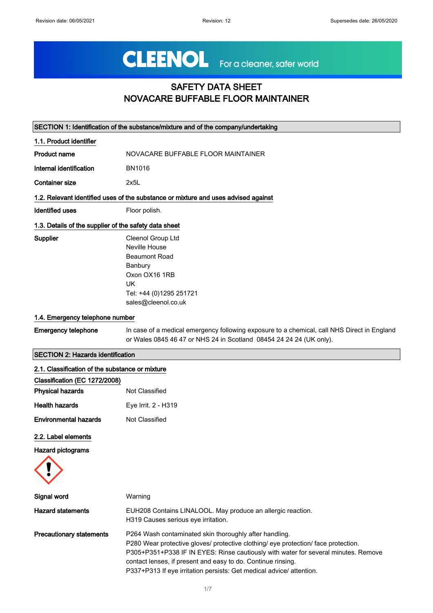# CLEENOL For a cleaner, safer world

# SAFETY DATA SHEET NOVACARE BUFFABLE FLOOR MAINTAINER

| SECTION 1: Identification of the substance/mixture and of the company/undertaking |                                                                                                                                                                    |  |
|-----------------------------------------------------------------------------------|--------------------------------------------------------------------------------------------------------------------------------------------------------------------|--|
| 1.1. Product identifier                                                           |                                                                                                                                                                    |  |
| Product name                                                                      | NOVACARE BUFFABLE FLOOR MAINTAINER                                                                                                                                 |  |
| Internal identification                                                           | <b>BN1016</b>                                                                                                                                                      |  |
| <b>Container size</b>                                                             | 2x5L                                                                                                                                                               |  |
|                                                                                   | 1.2. Relevant identified uses of the substance or mixture and uses advised against                                                                                 |  |
| <b>Identified uses</b>                                                            | Floor polish.                                                                                                                                                      |  |
| 1.3. Details of the supplier of the safety data sheet                             |                                                                                                                                                                    |  |
| Supplier                                                                          | Cleenol Group Ltd<br>Neville House<br><b>Beaumont Road</b><br>Banbury<br>Oxon OX16 1RB<br><b>UK</b><br>Tel: +44 (0)1295 251721<br>sales@cleenol.co.uk              |  |
| 1.4. Emergency telephone number                                                   |                                                                                                                                                                    |  |
| <b>Emergency telephone</b>                                                        | In case of a medical emergency following exposure to a chemical, call NHS Direct in England<br>or Wales 0845 46 47 or NHS 24 in Scotland 08454 24 24 24 (UK only). |  |
| <b>SECTION 2: Hazards identification</b>                                          |                                                                                                                                                                    |  |
| 2.1. Classification of the substance or mixture                                   |                                                                                                                                                                    |  |
| Classification (EC 1272/2008)                                                     |                                                                                                                                                                    |  |
| <b>Physical hazards</b>                                                           | Not Classified                                                                                                                                                     |  |
| <b>Health hazards</b>                                                             | Eye Irrit. 2 - H319                                                                                                                                                |  |
| <b>Environmental hazards</b>                                                      | Not Classified                                                                                                                                                     |  |
| 2.2. Label elements<br>Hazard pictograms                                          |                                                                                                                                                                    |  |

| Signal word                     | Warning                                                                                                                                                                                                                                                                                                                                                                    |
|---------------------------------|----------------------------------------------------------------------------------------------------------------------------------------------------------------------------------------------------------------------------------------------------------------------------------------------------------------------------------------------------------------------------|
| <b>Hazard statements</b>        | EUH208 Contains LINALOOL. May produce an allergic reaction.<br>H319 Causes serious eye irritation.                                                                                                                                                                                                                                                                         |
| <b>Precautionary statements</b> | P264 Wash contaminated skin thoroughly after handling.<br>P280 Wear protective gloves/ protective clothing/ eye protection/ face protection.<br>P305+P351+P338 IF IN EYES: Rinse cautiously with water for several minutes. Remove<br>contact lenses, if present and easy to do. Continue rinsing.<br>P337+P313 If eye irritation persists: Get medical advice/ attention. |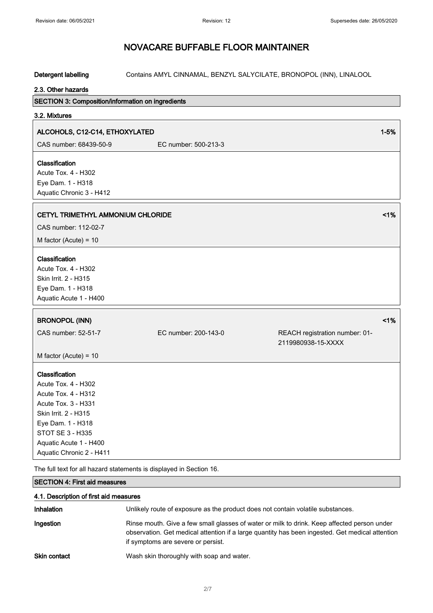Detergent labelling Contains AMYL CINNAMAL, BENZYL SALYCILATE, BRONOPOL (INN), LINALOOL

### 2.3. Other hazards

| SECTION 3: Composition/information on ingredients                    |                      |                                                      |          |
|----------------------------------------------------------------------|----------------------|------------------------------------------------------|----------|
| 3.2. Mixtures                                                        |                      |                                                      |          |
| ALCOHOLS, C12-C14, ETHOXYLATED                                       |                      |                                                      | $1 - 5%$ |
| CAS number: 68439-50-9                                               | EC number: 500-213-3 |                                                      |          |
|                                                                      |                      |                                                      |          |
| Classification                                                       |                      |                                                      |          |
| Acute Tox. 4 - H302                                                  |                      |                                                      |          |
| Eye Dam. 1 - H318<br>Aquatic Chronic 3 - H412                        |                      |                                                      |          |
|                                                                      |                      |                                                      |          |
| CETYL TRIMETHYL AMMONIUM CHLORIDE                                    |                      |                                                      | 1%       |
| CAS number: 112-02-7                                                 |                      |                                                      |          |
| M factor (Acute) = $10$                                              |                      |                                                      |          |
| <b>Classification</b><br>Acute Tox. 4 - H302<br>Skin Irrit. 2 - H315 |                      |                                                      |          |
| Eye Dam. 1 - H318                                                    |                      |                                                      |          |
| Aquatic Acute 1 - H400                                               |                      |                                                      |          |
|                                                                      |                      |                                                      | 1%       |
| <b>BRONOPOL (INN)</b>                                                |                      |                                                      |          |
| CAS number: 52-51-7                                                  | EC number: 200-143-0 | REACH registration number: 01-<br>2119980938-15-XXXX |          |
| M factor (Acute) = $10$                                              |                      |                                                      |          |
| Classification                                                       |                      |                                                      |          |
| <b>Acute Tox. 4 - H302</b>                                           |                      |                                                      |          |
| <b>Acute Tox. 4 - H312</b>                                           |                      |                                                      |          |
| Acute Tox. 3 - H331                                                  |                      |                                                      |          |
| Skin Irrit. 2 - H315                                                 |                      |                                                      |          |
| Eye Dam. 1 - H318                                                    |                      |                                                      |          |
| STOT SE 3 - H335                                                     |                      |                                                      |          |
| Aquatic Acute 1 - H400                                               |                      |                                                      |          |
| Aquatic Chronic 2 - H411                                             |                      |                                                      |          |
| .                                                                    |                      |                                                      |          |

The full text for all hazard statements is displayed in Section 16.

#### SECTION 4: First aid measures

| 4.1. Description of first aid measures |                                                                                                                                                                                                                                      |
|----------------------------------------|--------------------------------------------------------------------------------------------------------------------------------------------------------------------------------------------------------------------------------------|
| Inhalation                             | Unlikely route of exposure as the product does not contain volatile substances.                                                                                                                                                      |
| Ingestion                              | Rinse mouth. Give a few small glasses of water or milk to drink. Keep affected person under<br>observation. Get medical attention if a large quantity has been ingested. Get medical attention<br>if symptoms are severe or persist. |
| <b>Skin contact</b>                    | Wash skin thoroughly with soap and water.                                                                                                                                                                                            |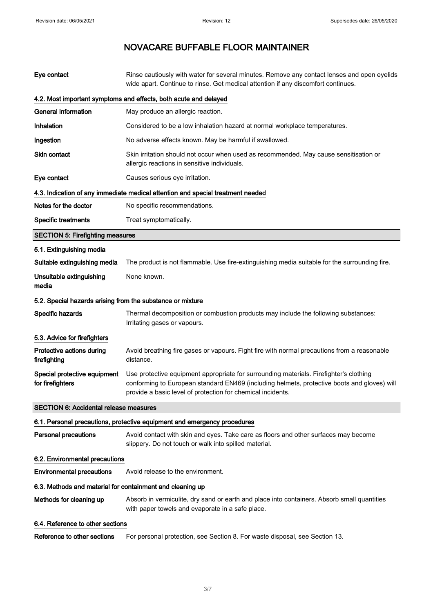| Eye contact                                                | Rinse cautiously with water for several minutes. Remove any contact lenses and open eyelids<br>wide apart. Continue to rinse. Get medical attention if any discomfort continues.                                                                     |
|------------------------------------------------------------|------------------------------------------------------------------------------------------------------------------------------------------------------------------------------------------------------------------------------------------------------|
|                                                            | 4.2. Most important symptoms and effects, both acute and delayed                                                                                                                                                                                     |
| <b>General information</b>                                 | May produce an allergic reaction.                                                                                                                                                                                                                    |
| Inhalation                                                 | Considered to be a low inhalation hazard at normal workplace temperatures.                                                                                                                                                                           |
| Ingestion                                                  | No adverse effects known. May be harmful if swallowed.                                                                                                                                                                                               |
| <b>Skin contact</b>                                        | Skin irritation should not occur when used as recommended. May cause sensitisation or<br>allergic reactions in sensitive individuals.                                                                                                                |
| Eye contact                                                | Causes serious eye irritation.                                                                                                                                                                                                                       |
|                                                            | 4.3. Indication of any immediate medical attention and special treatment needed                                                                                                                                                                      |
| Notes for the doctor                                       | No specific recommendations.                                                                                                                                                                                                                         |
| <b>Specific treatments</b>                                 | Treat symptomatically.                                                                                                                                                                                                                               |
| <b>SECTION 5: Firefighting measures</b>                    |                                                                                                                                                                                                                                                      |
| 5.1. Extinguishing media                                   |                                                                                                                                                                                                                                                      |
| Suitable extinguishing media                               | The product is not flammable. Use fire-extinguishing media suitable for the surrounding fire.                                                                                                                                                        |
| Unsuitable extinguishing<br>media                          | None known.                                                                                                                                                                                                                                          |
| 5.2. Special hazards arising from the substance or mixture |                                                                                                                                                                                                                                                      |
| Specific hazards                                           | Thermal decomposition or combustion products may include the following substances:<br>Irritating gases or vapours.                                                                                                                                   |
| 5.3. Advice for firefighters                               |                                                                                                                                                                                                                                                      |
| Protective actions during<br>firefighting                  | Avoid breathing fire gases or vapours. Fight fire with normal precautions from a reasonable<br>distance.                                                                                                                                             |
| Special protective equipment<br>for firefighters           | Use protective equipment appropriate for surrounding materials. Firefighter's clothing<br>conforming to European standard EN469 (including helmets, protective boots and gloves) will<br>provide a basic level of protection for chemical incidents. |
| <b>SECTION 6: Accidental release measures</b>              |                                                                                                                                                                                                                                                      |
|                                                            | 6.1. Personal precautions, protective equipment and emergency procedures                                                                                                                                                                             |
| <b>Personal precautions</b>                                | Avoid contact with skin and eyes. Take care as floors and other surfaces may become<br>slippery. Do not touch or walk into spilled material.                                                                                                         |
| 6.2. Environmental precautions                             |                                                                                                                                                                                                                                                      |
| <b>Environmental precautions</b>                           | Avoid release to the environment.                                                                                                                                                                                                                    |
| 6.3. Methods and material for containment and cleaning up  |                                                                                                                                                                                                                                                      |
| Methods for cleaning up                                    | Absorb in vermiculite, dry sand or earth and place into containers. Absorb small quantities<br>with paper towels and evaporate in a safe place.                                                                                                      |
| 6.4. Reference to other sections                           |                                                                                                                                                                                                                                                      |
| Reference to other sections                                | For personal protection, see Section 8. For waste disposal, see Section 13.                                                                                                                                                                          |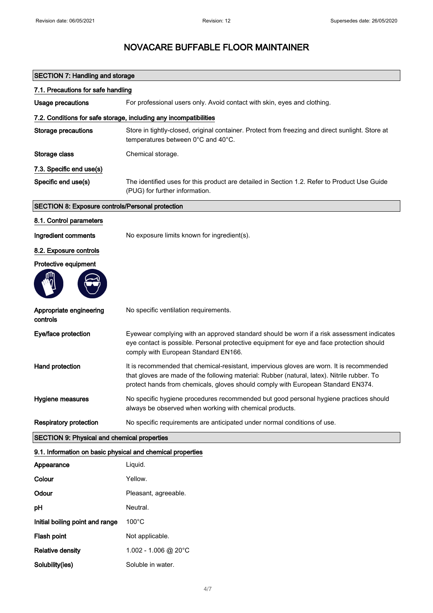| <b>SECTION 7: Handling and storage</b>                     |                                                                                                                                                                                                                                                                             |  |
|------------------------------------------------------------|-----------------------------------------------------------------------------------------------------------------------------------------------------------------------------------------------------------------------------------------------------------------------------|--|
| 7.1. Precautions for safe handling                         |                                                                                                                                                                                                                                                                             |  |
| <b>Usage precautions</b>                                   | For professional users only. Avoid contact with skin, eyes and clothing.                                                                                                                                                                                                    |  |
|                                                            | 7.2. Conditions for safe storage, including any incompatibilities                                                                                                                                                                                                           |  |
| <b>Storage precautions</b>                                 | Store in tightly-closed, original container. Protect from freezing and direct sunlight. Store at<br>temperatures between 0°C and 40°C.                                                                                                                                      |  |
| Storage class                                              | Chemical storage.                                                                                                                                                                                                                                                           |  |
| 7.3. Specific end use(s)                                   |                                                                                                                                                                                                                                                                             |  |
| Specific end use(s)                                        | The identified uses for this product are detailed in Section 1.2. Refer to Product Use Guide<br>(PUG) for further information.                                                                                                                                              |  |
| <b>SECTION 8: Exposure controls/Personal protection</b>    |                                                                                                                                                                                                                                                                             |  |
| 8.1. Control parameters                                    |                                                                                                                                                                                                                                                                             |  |
| Ingredient comments                                        | No exposure limits known for ingredient(s).                                                                                                                                                                                                                                 |  |
| 8.2. Exposure controls                                     |                                                                                                                                                                                                                                                                             |  |
| Protective equipment                                       |                                                                                                                                                                                                                                                                             |  |
|                                                            |                                                                                                                                                                                                                                                                             |  |
| Appropriate engineering<br>controls                        | No specific ventilation requirements.                                                                                                                                                                                                                                       |  |
| Eye/face protection                                        | Eyewear complying with an approved standard should be worn if a risk assessment indicates<br>eye contact is possible. Personal protective equipment for eye and face protection should<br>comply with European Standard EN166.                                              |  |
| Hand protection                                            | It is recommended that chemical-resistant, impervious gloves are worn. It is recommended<br>that gloves are made of the following material: Rubber (natural, latex). Nitrile rubber. To<br>protect hands from chemicals, gloves should comply with European Standard EN374. |  |
| Hygiene measures                                           | No specific hygiene procedures recommended but good personal hygiene practices should<br>always be observed when working with chemical products.                                                                                                                            |  |
| <b>Respiratory protection</b>                              | No specific requirements are anticipated under normal conditions of use.                                                                                                                                                                                                    |  |
| <b>SECTION 9: Physical and chemical properties</b>         |                                                                                                                                                                                                                                                                             |  |
| 9.1. Information on basic physical and chemical properties |                                                                                                                                                                                                                                                                             |  |
| Appearance                                                 | Liquid.                                                                                                                                                                                                                                                                     |  |
| Colour                                                     | Yellow.                                                                                                                                                                                                                                                                     |  |
| Odour                                                      | Pleasant, agreeable.                                                                                                                                                                                                                                                        |  |
| рH                                                         | Neutral.                                                                                                                                                                                                                                                                    |  |
| Initial boiling point and range                            | $100^{\circ}$ C                                                                                                                                                                                                                                                             |  |
| Flash point                                                | Not applicable.                                                                                                                                                                                                                                                             |  |
| <b>Relative density</b>                                    | $1.002 - 1.006$ @ 20°C                                                                                                                                                                                                                                                      |  |
| Solubility(ies)                                            | Soluble in water.                                                                                                                                                                                                                                                           |  |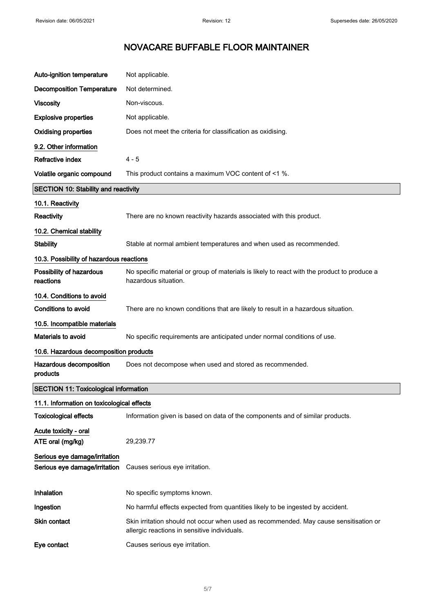| Auto-ignition temperature                                      | Not applicable.                                                                                                                       |
|----------------------------------------------------------------|---------------------------------------------------------------------------------------------------------------------------------------|
| <b>Decomposition Temperature</b>                               | Not determined.                                                                                                                       |
| <b>Viscosity</b>                                               | Non-viscous.                                                                                                                          |
| <b>Explosive properties</b>                                    | Not applicable.                                                                                                                       |
| <b>Oxidising properties</b>                                    | Does not meet the criteria for classification as oxidising.                                                                           |
| 9.2. Other information                                         |                                                                                                                                       |
| Refractive index                                               | $4 - 5$                                                                                                                               |
| Volatile organic compound                                      | This product contains a maximum VOC content of <1 %.                                                                                  |
| <b>SECTION 10: Stability and reactivity</b>                    |                                                                                                                                       |
| 10.1. Reactivity                                               |                                                                                                                                       |
| Reactivity                                                     | There are no known reactivity hazards associated with this product.                                                                   |
| 10.2. Chemical stability                                       |                                                                                                                                       |
| <b>Stability</b>                                               | Stable at normal ambient temperatures and when used as recommended.                                                                   |
| 10.3. Possibility of hazardous reactions                       |                                                                                                                                       |
| Possibility of hazardous<br>reactions                          | No specific material or group of materials is likely to react with the product to produce a<br>hazardous situation.                   |
| 10.4. Conditions to avoid                                      |                                                                                                                                       |
| <b>Conditions to avoid</b>                                     | There are no known conditions that are likely to result in a hazardous situation.                                                     |
| 10.5. Incompatible materials                                   |                                                                                                                                       |
| Materials to avoid                                             | No specific requirements are anticipated under normal conditions of use.                                                              |
| 10.6. Hazardous decomposition products                         |                                                                                                                                       |
| Hazardous decomposition<br>products                            | Does not decompose when used and stored as recommended.                                                                               |
| <b>SECTION 11: Toxicological information</b>                   |                                                                                                                                       |
| 11.1. Information on toxicological effects                     |                                                                                                                                       |
| <b>Toxicological effects</b>                                   | Information given is based on data of the components and of similar products.                                                         |
| Acute toxicity - oral                                          |                                                                                                                                       |
| ATE oral (mg/kg)                                               | 29,239.77                                                                                                                             |
| Serious eye damage/irritation<br>Serious eye damage/irritation | Causes serious eye irritation.                                                                                                        |
|                                                                |                                                                                                                                       |
| Inhalation                                                     | No specific symptoms known.                                                                                                           |
| Ingestion                                                      | No harmful effects expected from quantities likely to be ingested by accident.                                                        |
| Skin contact                                                   | Skin irritation should not occur when used as recommended. May cause sensitisation or<br>allergic reactions in sensitive individuals. |
| Eye contact                                                    | Causes serious eye irritation.                                                                                                        |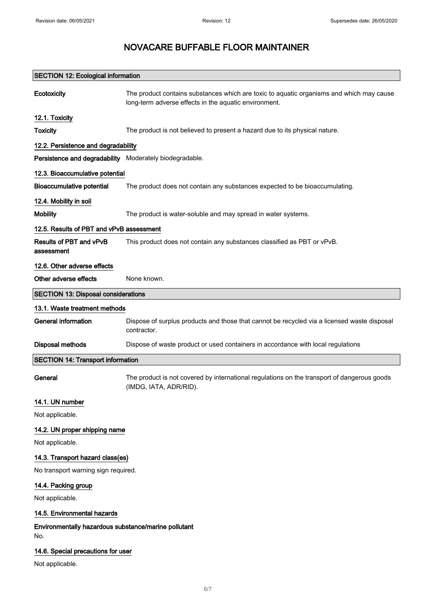|                                                             | <b>SECTION 12: Ecological information</b>                                                                                                         |  |
|-------------------------------------------------------------|---------------------------------------------------------------------------------------------------------------------------------------------------|--|
| Ecotoxicity                                                 | The product contains substances which are toxic to aquatic organisms and which may cause<br>long-term adverse effects in the aquatic environment. |  |
| 12.1. Toxicity                                              |                                                                                                                                                   |  |
| <b>Toxicity</b>                                             | The product is not believed to present a hazard due to its physical nature.                                                                       |  |
| 12.2. Persistence and degradability                         |                                                                                                                                                   |  |
| Persistence and degradability Moderately biodegradable.     |                                                                                                                                                   |  |
| 12.3. Bioaccumulative potential                             |                                                                                                                                                   |  |
| <b>Bioaccumulative potential</b>                            | The product does not contain any substances expected to be bioaccumulating.                                                                       |  |
| 12.4. Mobility in soil                                      |                                                                                                                                                   |  |
| <b>Mobility</b>                                             | The product is water-soluble and may spread in water systems.                                                                                     |  |
| 12.5. Results of PBT and vPvB assessment                    |                                                                                                                                                   |  |
| Results of PBT and vPvB<br>assessment                       | This product does not contain any substances classified as PBT or vPvB.                                                                           |  |
| 12.6. Other adverse effects                                 |                                                                                                                                                   |  |
| Other adverse effects                                       | None known.                                                                                                                                       |  |
| <b>SECTION 13: Disposal considerations</b>                  |                                                                                                                                                   |  |
| 13.1. Waste treatment methods                               |                                                                                                                                                   |  |
| <b>General information</b>                                  | Dispose of surplus products and those that cannot be recycled via a licensed waste disposal<br>contractor.                                        |  |
| <b>Disposal methods</b>                                     | Dispose of waste product or used containers in accordance with local regulations                                                                  |  |
| <b>SECTION 14: Transport information</b>                    |                                                                                                                                                   |  |
| General                                                     | The product is not covered by international regulations on the transport of dangerous goods<br>(IMDG, IATA, ADR/RID).                             |  |
| 14.1. UN number                                             |                                                                                                                                                   |  |
| Not applicable.                                             |                                                                                                                                                   |  |
| 14.2. UN proper shipping name                               |                                                                                                                                                   |  |
| Not applicable.                                             |                                                                                                                                                   |  |
| 14.3. Transport hazard class(es)                            |                                                                                                                                                   |  |
| No transport warning sign required.                         |                                                                                                                                                   |  |
| 14.4. Packing group                                         |                                                                                                                                                   |  |
| Not applicable.                                             |                                                                                                                                                   |  |
| 14.5. Environmental hazards                                 |                                                                                                                                                   |  |
| Environmentally hazardous substance/marine pollutant<br>No. |                                                                                                                                                   |  |
| 14.6. Special precautions for user                          |                                                                                                                                                   |  |
| Not applicable.                                             |                                                                                                                                                   |  |